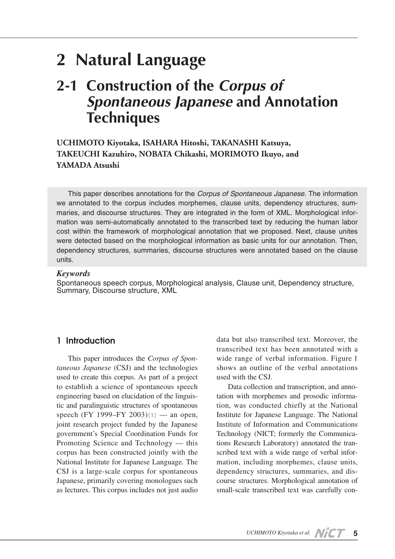# **2 Natural Language**

## **2-1 Construction of the** *Corpus of Spontaneous Japanese* **and Annotation Techniques**

**UCHIMOTO Kiyotaka, ISAHARA Hitoshi, TAKANASHI Katsuya, TAKEUCHI Kazuhiro, NOBATA Chikashi, MORIMOTO Ikuyo, and YAMADA Atsushi**

This paper describes annotations for the *Corpus of Spontaneous Japanese*. The information we annotated to the corpus includes morphemes, clause units, dependency structures, summaries, and discourse structures. They are integrated in the form of XML. Morphological information was semi-automatically annotated to the transcribed text by reducing the human labor cost within the framework of morphological annotation that we proposed. Next, clause unites were detected based on the morphological information as basic units for our annotation. Then, dependency structures, summaries, discourse structures were annotated based on the clause units.

### *Keywords*

Spontaneous speech corpus, Morphological analysis, Clause unit, Dependency structure, Summary, Discourse structure, XML

## **1 Introduction**

This paper introduces the *Corpus of Spontaneous Japanese* (CSJ) and the technologies used to create this corpus. As part of a project to establish a science of spontaneous speech engineering based on elucidation of the linguistic and paralinguistic structures of spontaneous speech (FY 1999–FY 2003)[1] — an open, joint research project funded by the Japanese government's Special Coordination Funds for Promoting Science and Technology — this corpus has been constructed jointly with the National Institute for Japanese Language. The CSJ is a large-scale corpus for spontaneous Japanese, primarily covering monologues such as lectures. This corpus includes not just audio

data but also transcribed text. Moreover, the transcribed text has been annotated with a wide range of verbal information. Figure 1 shows an outline of the verbal annotations used with the CSJ.

Data collection and transcription, and annotation with morphemes and prosodic information, was conducted chiefly at the National Institute for Japanese Language. The National Institute of Information and Communications Technology (NICT; formerly the Communications Research Laboratory) annotated the transcribed text with a wide range of verbal information, including morphemes, clause units, dependency structures, summaries, and discourse structures. Morphological annotation of small-scale transcribed text was carefully con-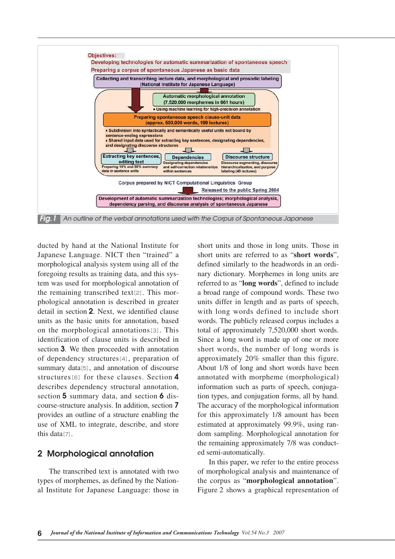

ducted by hand at the National Institute for Japanese Language. NICT then "trained" a morphological analysis system using all of the foregoing results as training data, and this system was used for morphological annotation of the remaining transcribed text[2]. This morphological annotation is described in greater detail in section **2**. Next, we identified clause units as the basic units for annotation, based on the morphological annotations[3]. This identification of clause units is described in section **3**. We then proceeded with annotation of dependency structures[4], preparation of summary data[5], and annotation of discourse structures[6] for these clauses. Section **4** describes dependency structural annotation, section **5** summary data, and section **6** discourse-structure analysis. In addition, section **7** provides an outline of a structure enabling the use of XML to integrate, describe, and store this data[7].

## **2 Morphological annotation**

The transcribed text is annotated with two types of morphemes, as defined by the National Institute for Japanese Language: those in short units and those in long units. Those in short units are referred to as "**short words**", defined similarly to the headwords in an ordinary dictionary. Morphemes in long units are referred to as "**long words**", defined to include a broad range of compound words. These two units differ in length and as parts of speech, with long words defined to include short words. The publicly released corpus includes a total of approximately 7,520,000 short words. Since a long word is made up of one or more short words, the number of long words is approximately 20% smaller than this figure. About 1/8 of long and short words have been annotated with morpheme (morphological) information such as parts of speech, conjugation types, and conjugation forms, all by hand. The accuracy of the morphological information for this approximately 1/8 amount has been estimated at approximately 99.9%, using random sampling. Morphological annotation for the remaining approximately 7/8 was conducted semi-automatically.

In this paper, we refer to the entire process of morphological analysis and maintenance of the corpus as "**morphological annotation**". Figure 2 shows a graphical representation of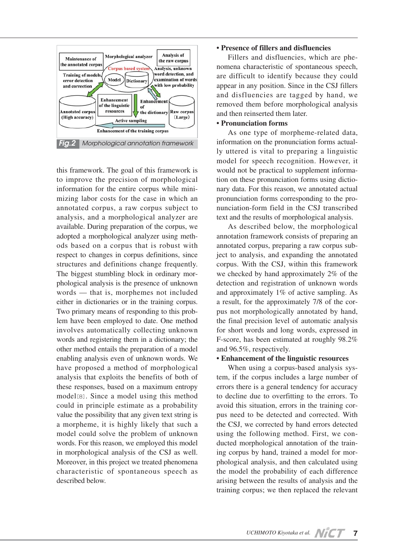

this framework. The goal of this framework is to improve the precision of morphological information for the entire corpus while minimizing labor costs for the case in which an annotated corpus, a raw corpus subject to analysis, and a morphological analyzer are available. During preparation of the corpus, we adopted a morphological analyzer using methods based on a corpus that is robust with respect to changes in corpus definitions, since structures and definitions change frequently. The biggest stumbling block in ordinary morphological analysis is the presence of unknown words — that is, morphemes not included either in dictionaries or in the training corpus. Two primary means of responding to this problem have been employed to date. One method involves automatically collecting unknown words and registering them in a dictionary; the other method entails the preparation of a model enabling analysis even of unknown words. We have proposed a method of morphological analysis that exploits the benefits of both of these responses, based on a maximum entropy model[8]. Since a model using this method could in principle estimate as a probability value the possibility that any given text string is a morpheme, it is highly likely that such a model could solve the problem of unknown words. For this reason, we employed this model in morphological analysis of the CSJ as well. Moreover, in this project we treated phenomena characteristic of spontaneous speech as described below.

#### **• Presence of fillers and disfluencies**

Fillers and disfluencies, which are phenomena characteristic of spontaneous speech, are difficult to identify because they could appear in any position. Since in the CSJ fillers and disfluencies are tagged by hand, we removed them before morphological analysis and then reinserted them later.

#### **• Pronunciation forms**

As one type of morpheme-related data, information on the pronunciation forms actually uttered is vital to preparing a linguistic model for speech recognition. However, it would not be practical to supplement information on these pronunciation forms using dictionary data. For this reason, we annotated actual pronunciation forms corresponding to the pronunciation-form field in the CSJ transcribed text and the results of morphological analysis.

As described below, the morphological annotation framework consists of preparing an annotated corpus, preparing a raw corpus subject to analysis, and expanding the annotated corpus. With the CSJ, within this framework we checked by hand approximately 2% of the detection and registration of unknown words and approximately 1% of active sampling. As a result, for the approximately 7/8 of the corpus not morphologically annotated by hand, the final precision level of automatic analysis for short words and long words, expressed in F-score, has been estimated at roughly 98.2% and 96.5%, respectively.

#### **• Enhancement of the linguistic resources**

When using a corpus-based analysis system, if the corpus includes a large number of errors there is a general tendency for accuracy to decline due to overfitting to the errors. To avoid this situation, errors in the training corpus need to be detected and corrected. With the CSJ, we corrected by hand errors detected using the following method. First, we conducted morphological annotation of the training corpus by hand, trained a model for morphological analysis, and then calculated using the model the probability of each difference arising between the results of analysis and the training corpus; we then replaced the relevant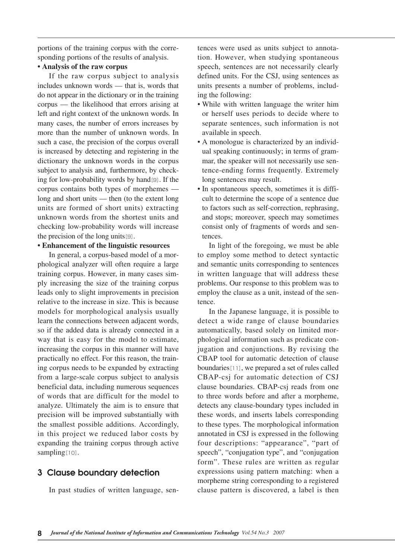portions of the training corpus with the corresponding portions of the results of analysis.

## **• Analysis of the raw corpus**

If the raw corpus subject to analysis includes unknown words — that is, words that do not appear in the dictionary or in the training corpus — the likelihood that errors arising at left and right context of the unknown words. In many cases, the number of errors increases by more than the number of unknown words. In such a case, the precision of the corpus overall is increased by detecting and registering in the dictionary the unknown words in the corpus subject to analysis and, furthermore, by checking for low-probability words by hand[9]. If the corpus contains both types of morphemes long and short units — then (to the extent long units are formed of short units) extracting unknown words from the shortest units and checking low-probability words will increase the precision of the long units[9].

#### **• Enhancement of the linguistic resources**

In general, a corpus-based model of a morphological analyzer will often require a large training corpus. However, in many cases simply increasing the size of the training corpus leads only to slight improvements in precision relative to the increase in size. This is because models for morphological analysis usually learn the connections between adjacent words, so if the added data is already connected in a way that is easy for the model to estimate, increasing the corpus in this manner will have practically no effect. For this reason, the training corpus needs to be expanded by extracting from a large-scale corpus subject to analysis beneficial data, including numerous sequences of words that are difficult for the model to analyze. Ultimately the aim is to ensure that precision will be improved substantially with the smallest possible additions. Accordingly, in this project we reduced labor costs by expanding the training corpus through active sampling<sup>[10]</sup>.

## **3 Clause boundary detection**

In past studies of written language, sen-

tences were used as units subject to annotation. However, when studying spontaneous speech, sentences are not necessarily clearly defined units. For the CSJ, using sentences as units presents a number of problems, including the following:

- While with written language the writer him or herself uses periods to decide where to separate sentences, such information is not available in speech.
- A monologue is characterized by an individual speaking continuously; in terms of grammar, the speaker will not necessarily use sentence-ending forms frequently. Extremely long sentences may result.
- In spontaneous speech, sometimes it is difficult to determine the scope of a sentence due to factors such as self-correction, rephrasing, and stops; moreover, speech may sometimes consist only of fragments of words and sentences.

In light of the foregoing, we must be able to employ some method to detect syntactic and semantic units corresponding to sentences in written language that will address these problems. Our response to this problem was to employ the clause as a unit, instead of the sentence.

In the Japanese language, it is possible to detect a wide range of clause boundaries automatically, based solely on limited morphological information such as predicate conjugation and conjunctions. By revising the CBAP tool for automatic detection of clause boundaries[11], we prepared a set of rules called CBAP-csj for automatic detection of CSJ clause boundaries. CBAP-csj reads from one to three words before and after a morpheme, detects any clause-boundary types included in these words, and inserts labels corresponding to these types. The morphological information annotated in CSJ is expressed in the following four descriptions: "appearance", "part of speech", "conjugation type", and "conjugation form". These rules are written as regular expressions using pattern matching: when a morpheme string corresponding to a registered clause pattern is discovered, a label is then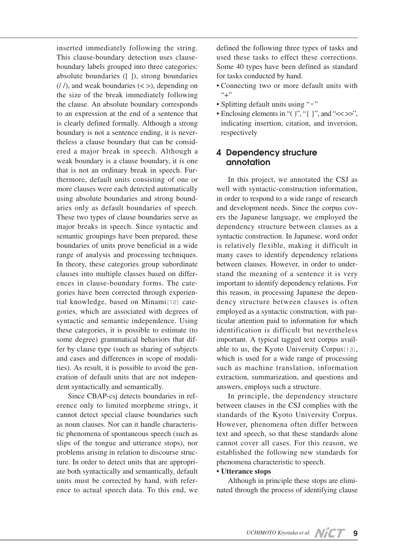inserted immediately following the string. This clause-boundary detection uses clauseboundary labels grouped into three categories: absolute boundaries ([ ]), strong boundaries  $(1/)$ , and weak boundaries  $(<)$ , depending on the size of the break immediately following the clause. An absolute boundary corresponds to an expression at the end of a sentence that is clearly defined formally. Although a strong boundary is not a sentence ending, it is nevertheless a clause boundary that can be considered a major break in speech. Although a weak boundary is a clause boundary, it is one that is not an ordinary break in speech. Furthermore, default units consisting of one or more clauses were each detected automatically using absolute boundaries and strong boundaries only as default boundaries of speech. These two types of clause boundaries serve as major breaks in speech. Since syntactic and semantic groupings have been prepared, these boundaries of units prove beneficial in a wide range of analysis and processing techniques. In theory, these categories group subordinate clauses into multiple classes based on differences in clause-boundary forms. The categories have been corrected through experiential knowledge, based on Minami[12] categories, which are associated with degrees of syntactic and semantic independence. Using these categories, it is possible to estimate (to some degree) grammatical behaviors that differ by clause type (such as sharing of subjects and cases and differences in scope of modalities). As result, it is possible to avoid the generation of default units that are not independent syntactically and semantically.

Since CBAP-csj detects boundaries in reference only to limited morpheme strings, it cannot detect special clause boundaries such as noun clauses. Nor can it handle characteristic phenomena of spontaneous speech (such as slips of the tongue and utterance stops), nor problems arising in relation to discourse structure. In order to detect units that are appropriate both syntactically and semantically, default units must be corrected by hand, with reference to actual speech data. To this end, we defined the following three types of tasks and used these tasks to effect these corrections. Some 40 types have been defined as standard for tasks conducted by hand.

- Connecting two or more default units with  $``+"$
- Splitting default units using "-"
- Enclosing elements in "( )", "{ }", and " $\ll$  >>", indicating insertion, citation, and inversion, respectively

## **4 Dependency structure annotation**

In this project, we annotated the CSJ as well with syntactic-construction information, in order to respond to a wide range of research and development needs. Since the corpus covers the Japanese language, we employed the dependency structure between clauses as a syntactic construction. In Japanese, word order is relatively flexible, making it difficult in many cases to identify dependency relations between clauses. However, in order to understand the meaning of a sentence it is very important to identify dependency relations. For this reason, in processing Japanese the dependency structure between clauses is often employed as a syntactic construction, with particular attention paid to information for which identification is difficult but nevertheless important. A typical tagged text corpus available to us, the Kyoto University Corpus[13], which is used for a wide range of processing such as machine translation, information extraction, summarization, and questions and answers, employs such a structure.

In principle, the dependency structure between clauses in the CSJ complies with the standards of the Kyoto University Corpus. However, phenomena often differ between text and speech, so that these standards alone cannot cover all cases. For this reason, we established the following new standards for phenomena characteristic to speech.

#### **• Utterance stops**

Although in principle these stops are eliminated through the process of identifying clause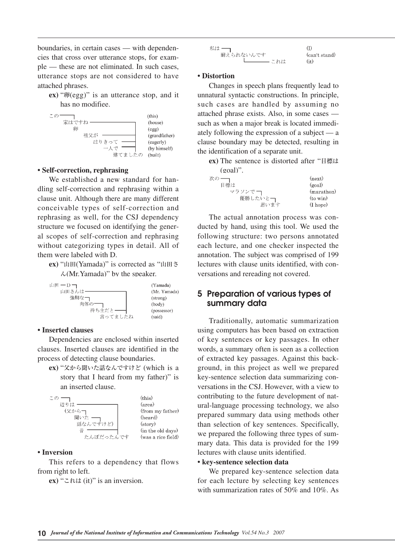boundaries, in certain cases — with dependencies that cross over utterance stops, for example — these are not eliminated. In such cases, utterance stops are not considered to have attached phrases.

**ex)** "卵(egg)" is an utterance stop, and it has no modifiee.



#### **• Self-correction, rephrasing**

We established a new standard for handling self-correction and rephrasing within a clause unit. Although there are many different conceivable types of self-correction and rephrasing as well, for the CSJ dependency structure we focused on identifying the general scopes of self-correction and rephrasing without categorizing types in detail. All of them were labeled with D.

**ex)** "山田(Yamada)" is corrected as "山田さ  $\lambda$ (Mr.Yamada)" by the speaker.



#### **• Inserted clauses**

Dependencies are enclosed within inserted clauses. Inserted clauses are identified in the process of detecting clause boundaries.

**ex)** "父から聞いた話なんですけど (which is a story that I heard from my father)" is an inserted clause.



#### **• Inversion**

This refers to a dependency that flows from right to left.

**ex)** "これは (it)" is an inversion.

| 私は ―      |               |
|-----------|---------------|
| 耐えられないんです | (can't stand) |
| これは       | (it)          |

#### **• Distortion**

Changes in speech plans frequently lead to unnatural syntactic constructions. In principle, such cases are handled by assuming no attached phrase exists. Also, in some cases such as when a major break is located immediately following the expression of a subject — a clause boundary may be detected, resulting in the identification of a separate unit.

**ex)** The sentence is distorted after "目標は

| $(goal)$ ". |                      |
|-------------|----------------------|
| 次の          | (new)                |
| 目標は         | (goal)               |
| マラソンで一      | (marathon)           |
| 優勝したいと一     | $(to$ win $)$        |
| 思います        | $(I \; \text{hope})$ |
|             |                      |

The actual annotation process was conducted by hand, using this tool. We used the following structure: two persons annotated each lecture, and one checker inspected the annotation. The subject was comprised of 199 lectures with clause units identified, with conversations and rereading not covered.

## **5 Preparation of various types of summary data**

Traditionally, automatic summarization using computers has been based on extraction of key sentences or key passages. In other words, a summary often is seen as a collection of extracted key passages. Against this background, in this project as well we prepared key-sentence selection data summarizing conversations in the CSJ. However, with a view to contributing to the future development of natural-language processing technology, we also prepared summary data using methods other than selection of key sentences. Specifically, we prepared the following three types of summary data. This data is provided for the 199 lectures with clause units identified.

#### **• key-sentence selection data**

We prepared key-sentence selection data for each lecture by selecting key sentences with summarization rates of 50% and 10%. As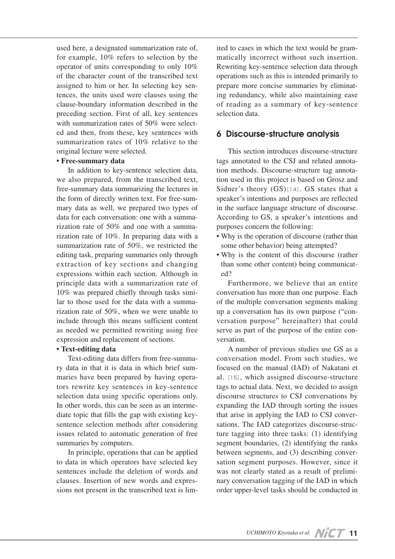used here, a designated summarization rate of, for example, 10% refers to selection by the operator of units corresponding to only 10% of the character count of the transcribed text assigned to him or her. In selecting key sentences, the units used were clauses using the clause-boundary information described in the preceding section. First of all, key sentences with summarization rates of 50% were selected and then, from these, key sentences with summarization rates of 10% relative to the original lecture were selected.

#### **• Free-summary data**

In addition to key-sentence selection data, we also prepared, from the transcribed text, free-summary data summarizing the lectures in the form of directly written text. For free-summary data as well, we prepared two types of data for each conversation: one with a summarization rate of 50% and one with a summarization rate of 10%. In preparing data with a summarization rate of 50%, we restricted the editing task, preparing summaries only through extraction of key sections and changing expressions within each section. Although in principle data with a summarization rate of 10% was prepared chiefly through tasks similar to those used for the data with a summarization rate of 50%, when we were unable to include through this means sufficient content as needed we permitted rewriting using free expression and replacement of sections.

## **• Text-editing data**

Text-editing data differs from free-summary data in that it is data in which brief summaries have been prepared by having operators rewrite key sentences in key-sentence selection data using specific operations only. In other words, this can be seen as an intermediate topic that fills the gap with existing keysentence selection methods after considering issues related to automatic generation of free summaries by computers.

In principle, operations that can be applied to data in which operators have selected key sentences include the deletion of words and clauses. Insertion of new words and expressions not present in the transcribed text is limited to cases in which the text would be grammatically incorrect without such insertion. Rewriting key-sentence selection data through operations such as this is intended primarily to prepare more concise summaries by eliminating redundancy, while also maintaining ease of reading as a summary of key-sentence selection data.

## **6 Discourse-structure analysis**

This section introduces discourse-structure tags annotated to the CSJ and related annotation methods. Discourse-structure tag annotation used in this project is based on Grosz and Sidner's theory (GS)[14]. GS states that a speaker's intentions and purposes are reflected in the surface language structure of discourse. According to GS, a speaker's intentions and purposes concern the following:

- Why is the operation of discourse (rather than some other behavior) being attempted?
- Why is the content of this discourse (rather than some other content) being communicated?

Furthermore, we believe that an entire conversation has more than one purpose. Each of the multiple conversation segments making up a conversation has its own purpose ("conversation purpose" hereinafter) that could serve as part of the purpose of the entire conversation.

A number of previous studies use GS as a conversation model. From such studies, we focused on the manual (IAD) of Nakatani et al.[15], which assigned discourse-structure tags to actual data. Next, we decided to assign discourse structures to CSJ conversations by expanding the IAD through sorting the issues that arise in applying the IAD to CSJ conversations. The IAD categorizes discourse-structure tagging into three tasks: (1) identifying segment boundaries, (2) identifying the ranks between segments, and (3) describing conversation segment purposes. However, since it was not clearly stated as a result of preliminary conversation tagging of the IAD in which order upper-level tasks should be conducted in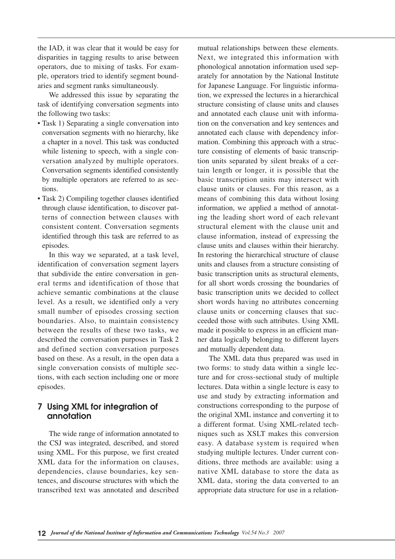the IAD, it was clear that it would be easy for disparities in tagging results to arise between operators, due to mixing of tasks. For example, operators tried to identify segment boundaries and segment ranks simultaneously.

We addressed this issue by separating the task of identifying conversation segments into the following two tasks:

- Task 1) Separating a single conversation into conversation segments with no hierarchy, like a chapter in a novel. This task was conducted while listening to speech, with a single conversation analyzed by multiple operators. Conversation segments identified consistently by multiple operators are referred to as sections.
- Task 2) Compiling together clauses identified through clause identification, to discover patterns of connection between clauses with consistent content. Conversation segments identified through this task are referred to as episodes.

In this way we separated, at a task level, identification of conversation segment layers that subdivide the entire conversation in general terms and identification of those that achieve semantic combinations at the clause level. As a result, we identified only a very small number of episodes crossing section boundaries. Also, to maintain consistency between the results of these two tasks, we described the conversation purposes in Task 2 and defined section conversation purposes based on these. As a result, in the open data a single conversation consists of multiple sections, with each section including one or more episodes.

## **7 Using XML for integration of annotation**

The wide range of information annotated to the CSJ was integrated, described, and stored using XML. For this purpose, we first created XML data for the information on clauses, dependencies, clause boundaries, key sentences, and discourse structures with which the transcribed text was annotated and described mutual relationships between these elements. Next, we integrated this information with phonological annotation information used separately for annotation by the National Institute for Japanese Language. For linguistic information, we expressed the lectures in a hierarchical structure consisting of clause units and clauses and annotated each clause unit with information on the conversation and key sentences and annotated each clause with dependency information. Combining this approach with a structure consisting of elements of basic transcription units separated by silent breaks of a certain length or longer, it is possible that the basic transcription units may intersect with clause units or clauses. For this reason, as a means of combining this data without losing information, we applied a method of annotating the leading short word of each relevant structural element with the clause unit and clause information, instead of expressing the clause units and clauses within their hierarchy. In restoring the hierarchical structure of clause units and clauses from a structure consisting of basic transcription units as structural elements, for all short words crossing the boundaries of basic transcription units we decided to collect short words having no attributes concerning clause units or concerning clauses that succeeded those with such attributes. Using XML made it possible to express in an efficient manner data logically belonging to different layers and mutually dependent data.

The XML data thus prepared was used in two forms: to study data within a single lecture and for cross-sectional study of multiple lectures. Data within a single lecture is easy to use and study by extracting information and constructions corresponding to the purpose of the original XML instance and converting it to a different format. Using XML-related techniques such as XSLT makes this conversion easy. A database system is required when studying multiple lectures. Under current conditions, three methods are available: using a native XML database to store the data as XML data, storing the data converted to an appropriate data structure for use in a relation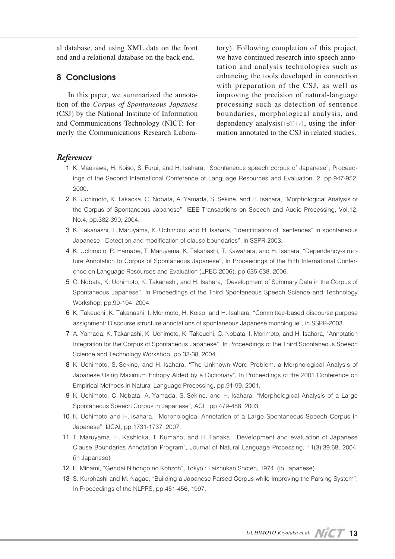al database, and using XML data on the front end and a relational database on the back end.

## **8 Conclusions**

In this paper, we summarized the annotation of the *Corpus of Spontaneous Japanese* (CSJ) by the National Institute of Information and Communications Technology (NICT; formerly the Communications Research Laboratory). Following completion of this project, we have continued research into speech annotation and analysis technologies such as enhancing the tools developed in connection with preparation of the CSJ, as well as improving the precision of natural-language processing such as detection of sentence boundaries, morphological analysis, and dependency analysis[16][17], using the information annotated to the CSJ in related studies.

## *References*

- 01 K. Maekawa, H. Koiso, S. Furui, and H. Isahara, "Spontaneous speech corpus of Japanese", Proceedings of the Second International Conference of Language Resources and Evaluation, 2, pp.947-952, 2000.
- 2 K. Uchimoto, K. Takaoka, C. Nobata, A. Yamada, S. Sekine, and H. Isahara, "Morphological Analysis of the Corpus of Spontaneous Japanese", IEEE Transactions on Speech and Audio Processing, Vol.12, No.4, pp.382-390, 2004.
- 03 K. Takanashi, T. Maruyama, K. Uchimoto, and H. Isahara, "Identification of "sentences" in spontaneous Japanese - Detection and modification of clause boundaries", in SSPR-2003.
- 04 K. Uchimoto, R. Hamabe, T. Maruyama, K. Takanashi, T. Kawahara, and H. Isahara, "Dependency-structure Annotation to Corpus of Spontaneous Japanese", In Proceedings of the Fifth International Conference on Language Resources and Evaluation (LREC 2006), pp.635-638, 2006.
- 05 C. Nobata, K. Uchimoto, K. Takanashi, and H. Isahara, "Development of Summary Data in the Corpus of Spontaneous Japanese", In Proceedings of the Third Spontaneous Speech Science and Technology Workshop, pp.99-104, 2004.
- 06 K. Takeuchi, K. Takanashi, I. Morimoto, H. Koiso, and H. Isahara, "Committee-based discourse purpose assignment: Discourse structure annotations of spontaneous Japanese monologue", in SSPR-2003.
- 7 A. Yamada, K. Takanashi, K. Uchimoto, K. Takeuchi, C. Nobata, I. Morimoto, and H. Isahara, "Annotation Integration for the Corpus of Spontaneous Japanese", In Proceedings of the Third Spontaneous Speech Science and Technology Workshop, pp.33-38, 2004.
- 8 K. Uchimoto, S. Sekine, and H. Isahara. "The Unknown Word Problem: a Morphological Analysis of Japanese Using Maximum Entropy Aided by a Dictionary", In Proceedings of the 2001 Conference on Empirical Methods in Natural Language Processing, pp.91-99, 2001.
- 09 K. Uchimoto, C. Nobata, A. Yamada, S. Sekine, and H. Isahara, "Morphological Analysis of a Large Spontaneous Speech Corpus in Japanese", ACL, pp.479-488, 2003.
- 10 K. Uchimoto and H. Isahara, "Morphological Annotation of a Large Spontaneous Speech Corpus in Japanese", IJCAI, pp.1731-1737, 2007.
- 11 T. Maruyama, H. Kashioka, T. Kumano, and H. Tanaka, "Development and evaluation of Japanese Clause Boundaries Annotation Program", Journal of Natural Language Processing, 11(3):39.68, 2004. (in Japanese)
- 12 F. Minami, "Gendai Nihongo no Kohzoh", Tokyo : Taishukan Shoten, 1974. (in Japanese)
- 13 S. Kurohashi and M. Nagao, "Building a Japanese Parsed Corpus while Improving the Parsing System", In Proceedings of the NLPRS, pp.451-456, 1997.